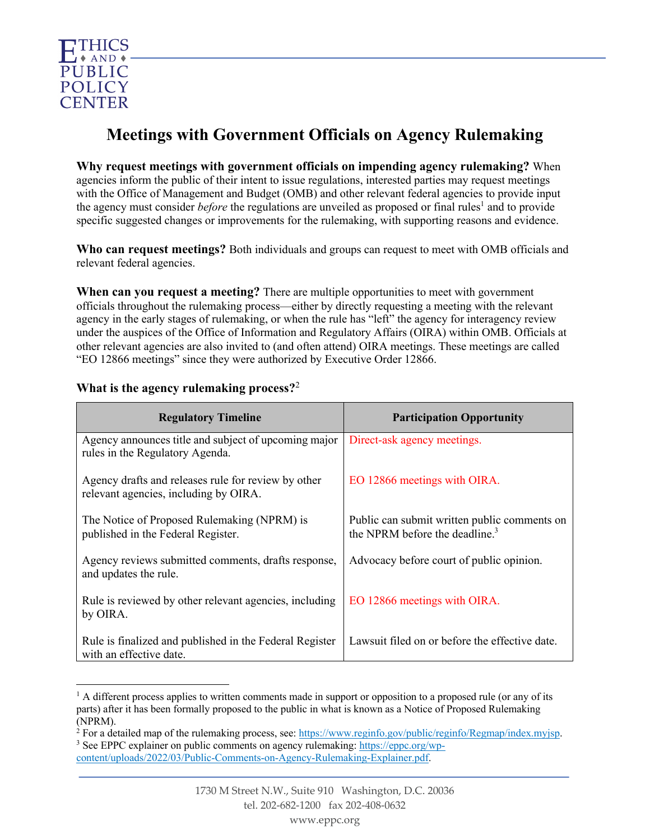

# **Meetings with Government Officials on Agency Rulemaking**

**Why request meetings with government officials on impending agency rulemaking?** When agencies inform the public of their intent to issue regulations, interested parties may request meetings with the Office of Management and Budget (OMB) and other relevant federal agencies to provide input the agency must consider *before* the regulations are unveiled as proposed or final rules <sup>1</sup> and to provide specific suggested changes or improvements for the rulemaking, with supporting reasons and evidence.

**Who can request meetings?** Both individuals and groups can request to meet with OMB officials and relevant federal agencies.

**When can you request a meeting?** There are multiple opportunities to meet with government officials throughout the rulemaking process—either by directly requesting a meeting with the relevant agency in the early stages of rulemaking, or when the rule has "left" the agency for interagency review under the auspices of the Office of Information and Regulatory Affairs (OIRA) within OMB. Officials at other relevant agencies are also invited to (and often attend) OIRA meetings. These meetings are called "EO 12866 meetings" since they were authorized by Executive Order 12866.

| <b>Regulatory Timeline</b>                                                                   | <b>Participation Opportunity</b>                                                           |
|----------------------------------------------------------------------------------------------|--------------------------------------------------------------------------------------------|
| Agency announces title and subject of upcoming major<br>rules in the Regulatory Agenda.      | Direct-ask agency meetings.                                                                |
| Agency drafts and releases rule for review by other<br>relevant agencies, including by OIRA. | EO 12866 meetings with OIRA.                                                               |
| The Notice of Proposed Rulemaking (NPRM) is<br>published in the Federal Register.            | Public can submit written public comments on<br>the NPRM before the deadline. <sup>3</sup> |
| Agency reviews submitted comments, drafts response,<br>and updates the rule.                 | Advocacy before court of public opinion.                                                   |
| Rule is reviewed by other relevant agencies, including<br>by OIRA.                           | EO 12866 meetings with OIRA.                                                               |
| Rule is finalized and published in the Federal Register<br>with an effective date.           | Lawsuit filed on or before the effective date.                                             |

### **What is the agency rulemaking process?**<sup>2</sup>

<sup>3</sup> See EPPC explainer on public comments on agency rulemaking: https://eppc.org/wpcontent/uploads/2022/03/Public-Comments-on-Agency-Rulemaking-Explainer.pdf.

 $<sup>1</sup>$  A different process applies to written comments made in support or opposition to a proposed rule (or any of its</sup> parts) after it has been formally proposed to the public in what is known as a Notice of Proposed Rulemaking (NPRM).

<sup>2</sup> For a detailed map of the rulemaking process, see: https://www.reginfo.gov/public/reginfo/Regmap/index.myjsp.